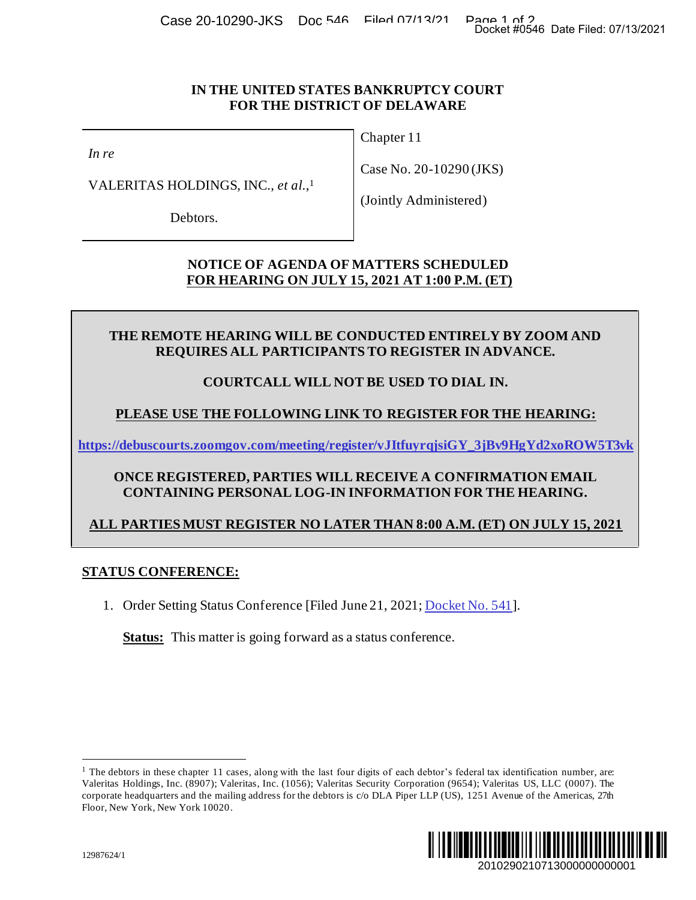Case 20-10290-JKS Doc 546 Filed 07/13/21 Page 1 of 20 Asse 20-10290-JKS Doc 546 Filed: 07/13/2021

#### **IN THE UNITED STATES BANKRUPTCY COURT FOR THE DISTRICT OF DELAWARE**

*In re*

VALERITAS HOLDINGS, INC., *et al*., 1

Debtors.

Chapter 11

Case No. 20-10290 (JKS)

(Jointly Administered)

**NOTICE OF AGENDA OF MATTERS SCHEDULED FOR HEARING ON JULY 15, 2021 AT 1:00 P.M. (ET)**

**THE REMOTE HEARING WILL BE CONDUCTED ENTIRELY BY ZOOM AND REQUIRES ALL PARTICIPANTS TO REGISTER IN ADVANCE.**

# **COURTCALL WILL NOT BE USED TO DIAL IN.**

# **PLEASE USE THE FOLLOWING LINK TO REGISTER FOR THE HEARING:**

**[https://debuscourts.zoomgov.com/meeting/register/vJItfuyrqjsiGY\\_3jBv9HgYd2xoROW5T3vk](https://debuscourts.zoomgov.com/meeting/register/vJItfuyrqjsiGY_3jBv9HgYd2xoROW5T3vk)**

### **ONCE REGISTERED, PARTIES WILL RECEIVE A CONFIRMATION EMAIL CONTAINING PERSONAL LOG-IN INFORMATION FOR THE HEARING.**

# **ALL PARTIES MUST REGISTER NO LATER THAN 8:00 A.M. (ET) ON JULY 15, 2021**

# **STATUS CONFERENCE:**

1. Order Setting Status Conference [Filed June 21, 2021[; Docket No. 541](https://ecf.deb.uscourts.gov/doc1/042019860325)].

**Status:** This matter is going forward as a status conference.

<sup>&</sup>lt;sup>1</sup> The debtors in these chapter 11 cases, along with the last four digits of each debtor's federal tax identification number, are: Valeritas Holdings, Inc. (8907); Valeritas, Inc. (1056); Valeritas Security Corporation (9654); Valeritas US, LLC (0007). The corporate headquarters and the mailing address for the debtors is c/o DLA Piper LLP (US), 1251 Avenue of the Americas, 27th Floor, New York, New York 10020.

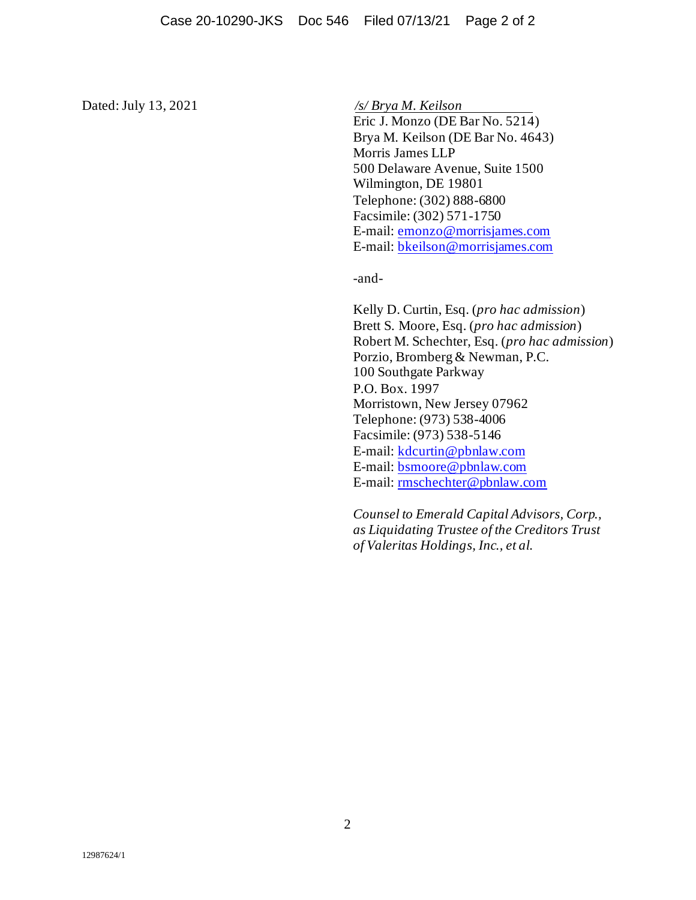Dated: July 13, 2021 */s/ Brya M. Keilson*

Eric J. Monzo (DE Bar No. 5214) Brya M. Keilson (DE Bar No. 4643) Morris James LLP 500 Delaware Avenue, Suite 1500 Wilmington, DE 19801 Telephone: (302) 888-6800 Facsimile: (302) 571-1750 E-mail: [emonzo@morrisjames.com](mailto:emonzo@morrisjames.com) E-mail: [bkeilson@morrisjames.com](mailto:bkeilson@morrisjames.com)

-and-

Kelly D. Curtin, Esq. (*pro hac admission*) Brett S. Moore, Esq. (*pro hac admission*) Robert M. Schechter, Esq. (*pro hac admission*) Porzio, Bromberg & Newman, P.C. 100 Southgate Parkway P.O. Box. 1997 Morristown, New Jersey 07962 Telephone: (973) 538-4006 Facsimile: (973) 538-5146 E-mail: [kdcurtin@pbnlaw.com](mailto:kdcurtin@pbnlaw.com) E-mail: [bsmoore@pbnlaw.com](mailto:bsmoore@pbnlaw.com) E-mail: [rmschechter@pbnlaw.com](mailto:rmschechter@pbnlaw.com)

*Counsel to Emerald Capital Advisors, Corp., as Liquidating Trustee of the Creditors Trust of Valeritas Holdings, Inc., et al.*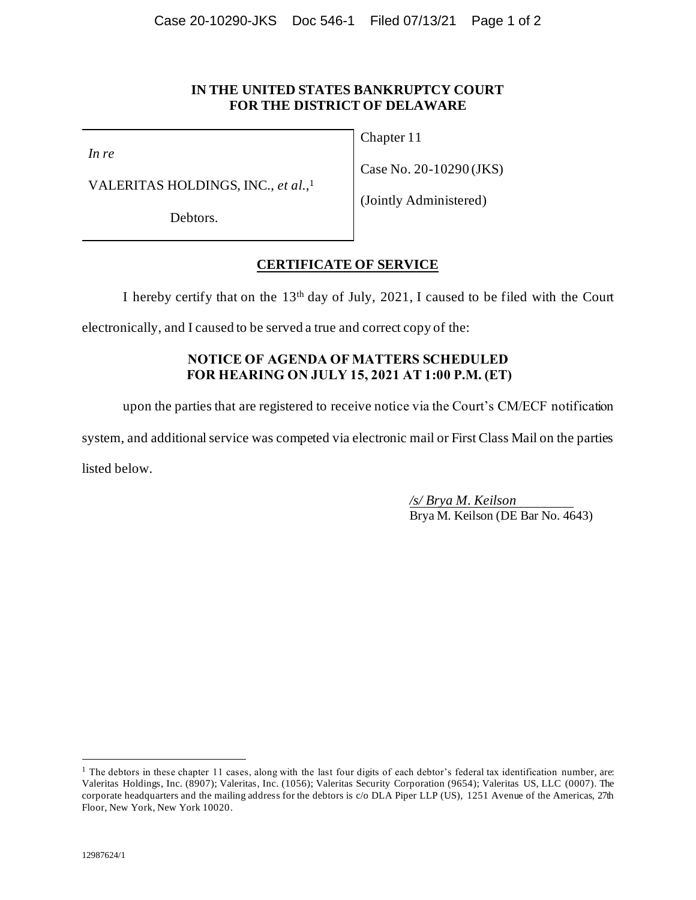#### **IN THE UNITED STATES BANKRUPTCY COURT FOR THE DISTRICT OF DELAWARE**

*In re*

VALERITAS HOLDINGS, INC., *et al*., 1

Debtors.

Chapter 11

Case No. 20-10290 (JKS)

(Jointly Administered)

### **CERTIFICATE OF SERVICE**

I hereby certify that on the  $13<sup>th</sup>$  day of July, 2021, I caused to be filed with the Court

electronically, and I caused to be served a true and correct copy of the:

### **NOTICE OF AGENDA OF MATTERS SCHEDULED FOR HEARING ON JULY 15, 2021 AT 1:00 P.M. (ET)**

upon the parties that are registered to receive notice via the Court's CM/ECF notification

system, and additional service was competed via electronic mail or First Class Mail on the parties

listed below.

*/s/ Brya M. Keilson*  Brya M. Keilson (DE Bar No. 4643)

<sup>&</sup>lt;sup>1</sup> The debtors in these chapter 11 cases, along with the last four digits of each debtor's federal tax identification number, are: Valeritas Holdings, Inc. (8907); Valeritas, Inc. (1056); Valeritas Security Corporation (9654); Valeritas US, LLC (0007). The corporate headquarters and the mailing address for the debtors is c/o DLA Piper LLP (US), 1251 Avenue of the Americas, 27th Floor, New York, New York 10020.